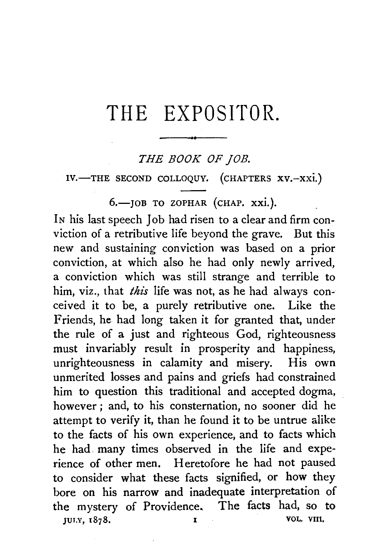# THE EXPOSITOR.

### *THE BOOK OF JOB.*

IV.-THE SECOND COLLOQUY. (CHAPTERS XV.-XXI.)

6.- JOB TO ZOPHAR (CHAP. xxi.).

IN his last speech Job had risen to a clear and firm conviction of a retributive life beyond the grave. But this new and sustaining conviction was based on a prior conviction, at which also he had only newly arrived, a conviction which was still strange and terrible to him, viz., that *this* life was not, as he had always conceived it to be, a purely retributive one. Like the Friends, he had long taken it for granted that, under the rule of a just and righteous God, righteousness must invariably result in prosperity and happiness, unrighteousness in calamity and misery. His own unmerited losses and pains and griefs had constrained him to question this traditional and accepted dogma, however ; and, to his consternation, no sooner did he attempt to verify it, than he found it to be untrue alike to the facts of his own experience, and to facts which he had. many times observed in the life and experience of other men. Heretofore he had not paused to consider what these facts signified, or how they bore on his narrow and inadequate interpretation of the mystery of Providence. The facts had, so to JULY, 1878. I VOL. VIII.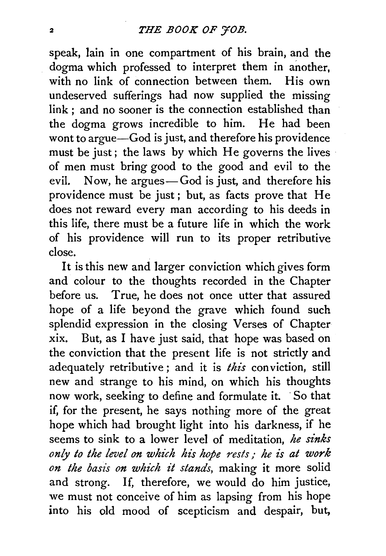speak, lain in one compartment of his brain, and the dogma which professed to interpret them in another, with no link of connection between them. His own undeserved sufferings had now supplied the missing link : and no sooner is the connection established than the dogma grows incredible to him. He had been wont to argue—God is just, and therefore his providence must be just; the laws by which He governs the lives of men must bring good to the good and evil to the evil. Now, he argues-God is just, and therefore his providence must be just ; but, as facts prove that He does not reward every man according to his deeds in this life, there must be a future life in which the work of his providence will run to its proper retributive close.

It is this new and larger conviction which gives form and colour to the thoughts recorded in the Chapter before us. True, he does not once utter that assured hope of a life beyond the grave which found such splendid expression in the closing Verses of Chapter xix. But, as I have just said, that hope was based on the conviction that the present life is not strictly and adequately retributive; and it is *this* conviction, still new and strange to his mind, on which his thoughts now work, seeking to define and formulate it. · So that if, for the present, he says nothing more of the great hope which had brought light into his darkness, if he seems to sink to a lower level of meditation, *he sinks only to the level on which his hope nsts* / *he is at work on the basis on which it stands,* making it more solid and strong. If, therefore, we would do him justice, we must not conceive of him as lapsing from his hope into his old mood of scepticism and despair, but,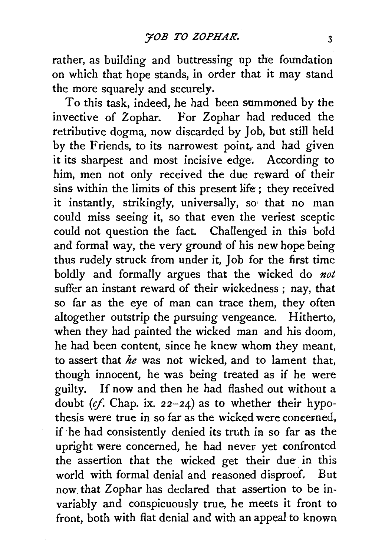rather, as building and buttressing up the foundation on which that hope stands, in order that it may stand the more squarely and securely.

To this task, indeed, he had been summoned by the invective of Zophar. For Zophar had reduced the retributive dogma, now discarded by Job, but still held by the Friends, to its narrowest point, and had given it its sharpest and most incisive edge. According to him, men not only received the due reward of their sins within the limits of this present life; they received it instantly, strikingly, universally, so that no man could miss seeing it, so that even the veriest sceptic could not question the fact. Challenged in this bold and formal way, the very ground of his new hope being thus rudely struck from under it, Job for the first time boldly and formally argues that the wicked do *not*  suffer an instant reward of their wickedness ; nay, that so far as the eye of man can trace them, they often altogether outstrip the pursuing vengeance. Hitherto, when they had painted the wicked man and his doom, he had been content, since he knew whom they meant, to assert that *he* was not wicked, and to lament that, though innocent, he was being treated as if he were guilty. If now and then he had flashed out without a doubt *(cf.* Chap. ix. 22-24) as to whether their hypothesis were true in so far as the wicked were concerned. if he had consistently denied its truth in so far as the upright were concerned, he had never yet confronted the assertion that the wicked get their due in this world with formal denial and reasoned disproof. But now. that Zophar has declared that assertion to be invariably and conspicuously true, he meets it front to front, both with flat denial and with an appeal to known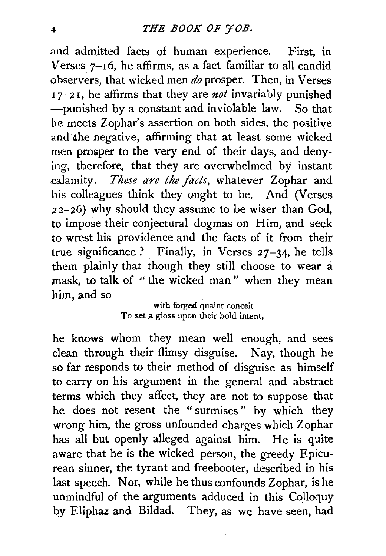and admitted facts of human experience. First, in Verses 7-16, he affirms, as a fact familiar to all candid observers, that wicked men *do* prosper. Then, in Verses  $17-21$ , he affirms that they are *not* invariably punished ---punished by a constant and inviolable law. So that he meets Zophar's assertion on both sides, the positive and·the negative, affirming that at least some wicked men prosper to the very end of their days, and denying, therefore. that they are overwhelmed by instant calamity. *These are the facts,* whatever Zophar and his colleagues think they ought to be. And (Verses  $22-26$ ) why should they assume to be wiser than God, to impose their conjectural dogmas on Him, and seek to wrest his providence and the facts of it from their true significance? Finally, in Verses  $27-34$ , he tells them plainly that though they still choose to wear a mask, to talk of "the wicked man" when they mean him, and so

> with forged quaint conceit To set a gloss upon their bold intent,

he knows whom they mean well enough, and sees clean through their flimsy disguise. Nay, though he so far responds to their method of disguise as himself to carry on his argument in the general and abstract terms which they affect, they are not to suppose that he does not resent the " surmises " by which they wrong him, the gross unfounded charges which Zophar has all but openly alleged against him. He is quite aware that he is the wicked person, the greedy Epicurean sinner, the tyrant and freebooter, described in his last speech. Nor, while he thus confounds Zophar, is he unmindful of the arguments adduced in this Colloquy by Eliphaz and Bildad. They, as we have seen, had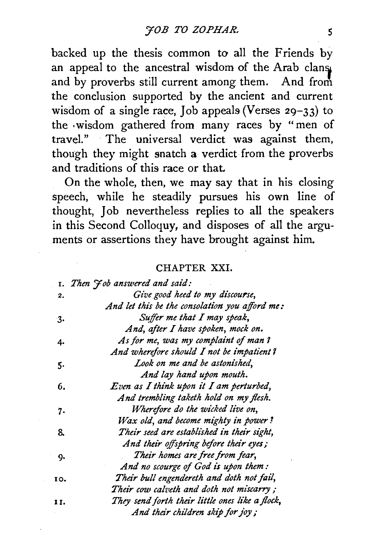backed up the thesis common to all the Friends by an appeal to the ancestral wisdom of the Arab clans and by proverbs still current among them. And from the conclusion supported by the ancient and current wisdom of a single race, Job appeals (Verses 29-33) to the ·wisdom gathered from many races by "men of travel." The universal verdict was against them, though they might snatch a verdict from the proverbs and traditions of this race or that.

On the whole, then, we may say that in his closing speech, while he steadily pursues his own line of thought, Job nevertheless replies to all the speakers in this Second Colloquy, and disposes of all the arguments or assertions they have brought against him.

### CHAPTER XXI.

|     | 1. Then Job answered and said:                  |
|-----|-------------------------------------------------|
| 2.  | Give good heed to my discourse,                 |
|     | And let this be the consolation you afford me:  |
| 3.  | Suffer me that I may speak,                     |
|     | And, after I have spoken, mock on.              |
| 4.  | As for me, was my complaint of man?             |
|     | And wherefore should I not be impatient?        |
| 5.  | Look on me and be astonished,                   |
|     | And lay hand upon mouth.                        |
| 6.  | Even as I think upon it I am perturbed,         |
|     | And trembling taketh hold on my flesh.          |
| 7.  | Wherefore do the wicked live on,                |
|     | Wax old, and become mighty in power?            |
| 8.  | Their seed are established in their sight,      |
|     | And their offspring before their eyes;          |
| 9.  | Their homes are free from fear,                 |
|     | And no scourge of God is upon them:             |
| 10. | Their bull engendereth and doth not fail,       |
|     | Their cow calveth and doth not miscarry;        |
| 11. | They send forth their little ones like a flock, |
|     | And their children skip for joy;                |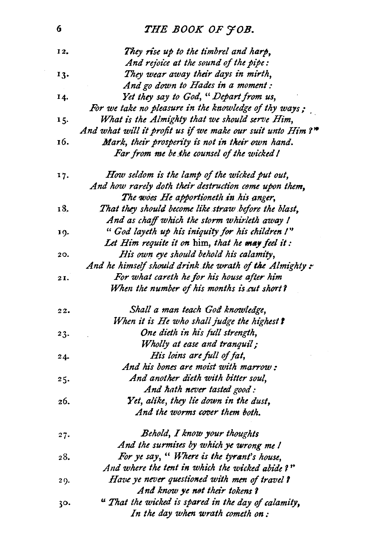## 6 *THE BOOK OF YOB.*

| 12, | They rise up to the timbrel and harp,                      |
|-----|------------------------------------------------------------|
|     | And rejoice at the sound of the pipe:                      |
| 13. | They wear away their days in mirth,                        |
|     | And go down to Hades in a moment :                         |
| 14. | Yet they say to God, "Depart from us,                      |
|     | For we take no pleasure in the knowledge of thy ways;      |
| 15. | What is the Almighty that we should serve Him,             |
|     | And what will it profit us if we make our suit unto Him?** |
| 16. | Mark, their prosperity is not in their own hand.           |
|     | Far from me be the counsel of the wicked !                 |
| 17. | How seldom is the lamp of the wicked put out,              |
|     | And how rarely doth their destruction come upon them,      |
|     | The woes He apportioneth in his anger,                     |
| 18. | That they should become like straw before the blast,       |
|     | And as chaff which the storm whirleth away !               |
| 19. | "God layeth up his iniquity for his children I"            |
|     | Let Him requite it on him, that he may feel it:            |
| 20. | His own eye should behold his calamity,                    |
|     | And he himself should drink the wrath of the Almighty :-   |
| 21. | For what careth he for his house after him                 |
|     | When the number of his months is cut short?                |
| 22. | Shall a man teach God knowledge,                           |
|     | When it is He who shall judge the highest?                 |
| 23. | One dieth in his full strength,                            |
|     | Wholly at ease and tranquil;                               |
| 24. | His loins are full of fat,                                 |
|     | And his bones are moist with marrow:                       |
| 25. | And another dieth with bitter soul,                        |
|     | And hath never tasted good:                                |
| 26. | Yet, alike, they lie down in the dust,                     |
|     | And the worms cover them both.                             |
| 27. | Behold, I know your thoughts                               |
|     | And the surmises by which ye wrong me I                    |
| 28. | For ye say, "Where is the tyrant's house,                  |
|     | And where the tent in which the wicked abide?"             |
| 29. | Have ye never questioned with men of travel?               |
|     | And know ye not their tokens?                              |
| 30. | " That the wicked is spared in the day of calamity,        |
|     | In the day when wrath cometh on:                           |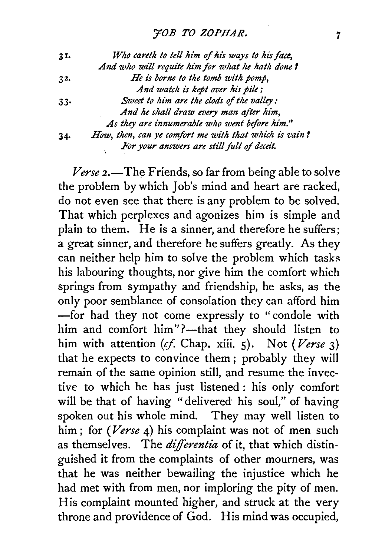| 3I. | Who careth to tell him of his ways to his face,       |
|-----|-------------------------------------------------------|
|     | And who will requite him for what he hath done?       |
| 32. | He is borne to the tomb with pomp,                    |
|     | And watch is kept over his pile;                      |
| 33. | Sweet to him are the clods of the valley:             |
|     | And he shall draw every man after him,                |
|     | As they are innumerable who went before him."         |
| 34. | How, then, can ye comfort me with that which is vain? |
|     | For your answers are still full of deceit.            |

*Verse* 2.—The Friends, so far from being able to solve the problem by which Job's mind and heart are racked, do not even see that there is any problem to be solved. That which perplexes and agonizes him is simple and plain to them. He is a sinner, and therefore he suffers; a great sinner, and therefore he suffers greatly. As they can neither help him to solve the problem which tasks his labouring thoughts, nor give him the comfort which springs from sympathy and friendship, he asks, as the only poor semblance of consolation they can afford him -for had they not come expressly to "condole with him and comfort him"?--that they should listen to him with attention (cf. Chap. xiii. 5). Not *(Verse* 3) that he expects to convince them; probably they will remain of the same opinion still, and resume the invective to which he has just listened : his only comfort will be that of having "delivered his soul," of having spoken out his whole mind. They may well listen to him ; for *(Verse* 4) his complaint was not of men such as themselves. The *differentia* of it, that which distinguished it from the complaints of other mourners, was that he was neither bewailing the injustice which he had met with from men, nor imploring the pity of men. His complaint mounted higher, and struck at the very throne and providence of God. His mind was occupied,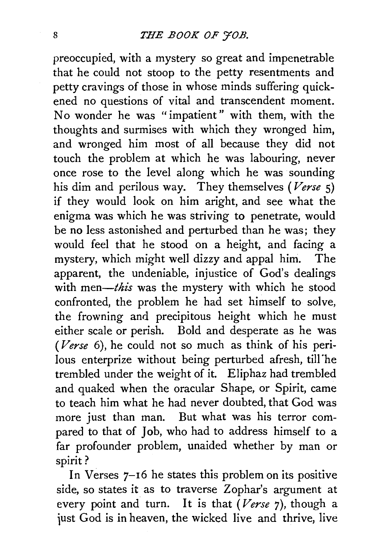preoccupied, with a mystery so great and impenetrable that he could not stoop to the petty resentments and petty cravings of those in whose minds suffering quickened no questions of vital and transcendent moment. No wonder he was "impatient" with them, with the thoughts and surmises with which they wronged him, and wronged him most of all because they did not touch the problem at which he was labouring, never once rose to the level along which he was sounding his dim and perilous way. They themselves *(Verse* 5) if they would look on him aright, and see what the enigma was which he was striving to penetrate, would be no less astonished and perturbed than he was; they would feel that he stood on a height, and facing a mystery, which might well dizzy and appal him. The apparent, the undeniable, injustice of God's dealings with *men-this* was the mystery with which he stood confronted, the problem he had set himself to solve, the frowning and precipitous height which he must either scale or perish. Bold and desperate as he was *(Verse* 6), he could not so much as think of his perilous enterprize without being perturbed afresh, till"he trembled under the weight of it. Eliphaz had trembled and quaked when the oracular Shape, or Spirit, came to teach him what he had never doubted, that God was more just than man. But what was his terror compared to that of Job, who had to address himself to a far profounder problem, unaided whether by man or spirit?

In Verses 7-16 he states this problem on its positive side, so states it as to traverse Zophar's argument at every point and turn. It is that *(Verse* 7), though a just God is in heaven, the wicked live and thrive, live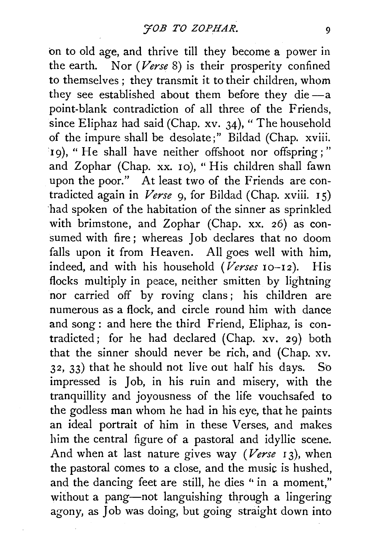on to old age, and thrive till they become a power in the earth. Nor *(Verse* 8) is their prosperity confined to themselves; they transmit it to their children, whom they see established about them before they die $-a$ point-blank contradiction of all three of the Friends, since Eliphaz had said (Chap. xv. 34), "The household of the impure shall be desolate;" Bildad (Chap. xviii. 19), "He shall have neither offshoot nor offspring;" and Zophar (Chap. xx. 10), "His children shall fawn upon the poor." At least two of the Friends are contradicted again in *Verse* 9, for Bildad (Chap. xviii. 1 5) ·had spoken of the habitation of the sinner as sprinkled with brimstone, and Zophar (Chap. xx. 26) as consumed with fire ; whereas Job declares that no doom falls upon it from Heaven. All goes well with him, indeed, and with his household *(Verses* 10-12). His flocks multiply in peace, neither smitten by lightning nor carried off by roving clans; his children are numerous as a flock, and circle round him with dance and song: and here the third Friend, Eliphaz, is contradicted; for he had declared (Chap. xv. 29) both that the sinner should never be rich, and (Chap. xv. 32, 33) that he should not live out half his days. So impressed is Job, in his ruin and misery, with the tranquillity and joyousness of the life vouchsafed to the godless man whom he had in his eye, that he paints an ideal portrait of him in these Verses, and makes him the central figure of a pastoral and idyllic scene. And when at last nature gives way *(Verse 13)*, when the pastoral comes to a close, and the music is hushed, and the dancing feet are still, he dies " in a moment," without a pang-not languishing through a lingering agony, as Job was doing, but going straight down into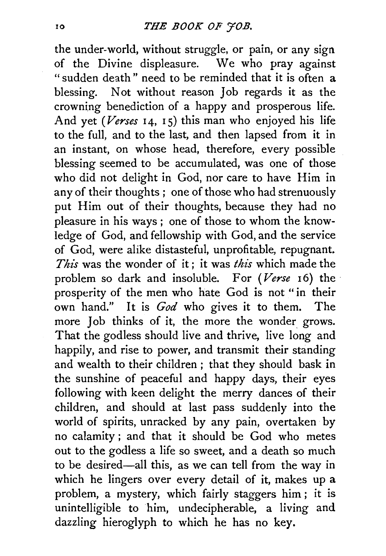the under-world, without struggle, or pain, or any sign of the Divine displeasure. We who pray against "sudden death" need to be reminded that it is often a blessing. Not without reason Job regards it as the crowning benediction of a happy and prosperous life. And yet *(Verses* 14, 15) this man who enjoyed his life to the full, and to the last, and then lapsed from it in an instant, on whose head, therefore, every possible blessing seemed to be accumulated, was one of those who did not delight in God, nor care to have Him in any of their thoughts ; one of those who had strenuously put Him out of their thoughts, because they had no pleasure in his ways ; one of those to whom the knowledge of God, and fellowship with God, and the service of God, were alike distasteful, unprofitable, repugnant. *This* was the wonder of it; it was *this* which made the problem so dark and insoluble. For *(Verse* 16) the prosperity of the men who hate God is not "in their own hand." It is *God* who gives it to them. The more Job thinks of it, the more the wonder grows. That the godless should live and thrive, live long and happily, and rise to power, and transmit their standing and wealth to their children ; that they should bask in the sunshine of peaceful and happy days, their eyes following with keen delight the merry dances of their children, and should at last pass suddenly into the world of spirits, unracked by any pain, overtaken by no calamity ; and that it should be God who metes out to the godless a life so sweet, and a death so much to be desired-all this, as we can tell from the way in which he lingers over every detail of it, makes up a problem, a mystery, which fairly staggers him ; it is unintelligible to him, undecipherable, a living and dazzling hieroglyph to which he has no key.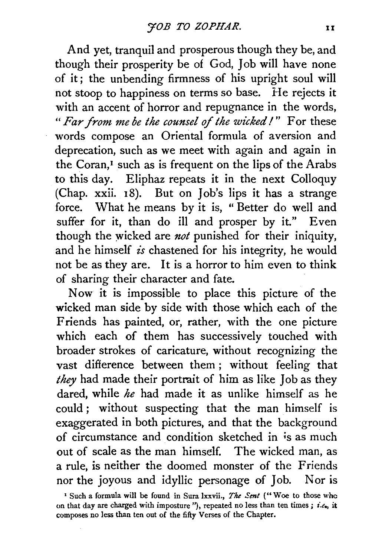And yet, tranquil and prosperous though they be, and though their prosperity be of God, Job will have none of it; the unbending firmness of his upright soul will not stoop to happiness on terms so base. He rejects it with an accent of horror and repugnance in the words, *"Far from me be the counsel of the wicked I"* For these words compose an Oriental formula of aversion and deprecation, such as we meet with again and again in the Coran,<sup>I</sup> such as is frequent on the lips of the Arabs to this day. Eliphaz repeats it in the next Colloquy (Chap. xxii. 18). But on Job's lips it has a strange force. What he means by it is, " Better do well and suffer for it, than do ill and prosper by it." Even though the wicked are *not* punished for their iniquity, and he himself *is* chastened for his integrity, he would not be as they are. It is a horror to him even to think of sharing their character and fate.

Now it is impossible to place this picture of the wicked man side by side with those which each of the Friends has painted, or, rather, with the one picture which each of them has successively touched with broader strokes of caricature, without recognizing the vast difference between them ; without feeling that *they* had made their portrait of him as like Job as they dared, while *he* had made it as unlike himself as he could ; without suspecting that the man himself is exaggerated in both pictures, and that the background of circumstance and condition sketched in is as much out of scale as the man himself. The wicked man, as a rule, is neither the doomed monster of the Friends nor the joyous and idyllic personage of Job. Nor is

<sup>&</sup>lt;sup>1</sup> Such a formula will be found in Sura lxxvii., *The Sent* ("Woe to those who on that day are charged with imposture "), repeated no less than ten times ; *i.e.,* it composes no less than ten out of the fifty Verses of the Chapter.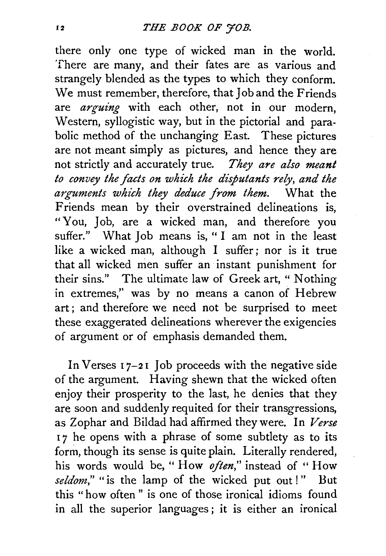there only one type of wicked man in the world. There are many, and their fates are as various and strangely blended as the types to which they conform. We must remember, therefore, that Job and the Friends are *arguing* with each other, not in our modern, Western, syllogistic way, but in the pictorial and parabolic method of the unchanging East. These pictures are not meant simply as pictures, and hence they are not strictly and accurately true. *They are also meant*  to convey the facts on which the disputants rely, and the *arguments which they deduce from them.* What the Friends mean by their overstrained delineations is, "You, Job, are a wicked man, and therefore you suffer." What Job means is, "I am not in the least like a wicked man, although I suffer; nor is it true that all wicked men suffer an instant punishment for their sins." The ultimate law of Greek art, " Nothing in extremes," was by no means a canon of Hebrew art ; and therefore we need not be surprised to meet these exaggerated delineations wherever the exigencies of argument or of emphasis demanded them.

In Verses  $17-21$  Job proceeds with the negative side of the argument. Having shewn that the wicked often enjoy their prosperity to the last, he denies that they are soon and suddenly requited for their transgressions, as Zophar and Bildad had affirmed they were. In *Verse*  17 he opens with a phrase of some subtlety as to its form, though its sense is quite plain. Literally rendered, his words would be, "How *often*," instead of "How seldom," "is the lamp of the wicked put out!" But this " how often " is one of those ironical idioms found in all the superior languages; it is either an ironical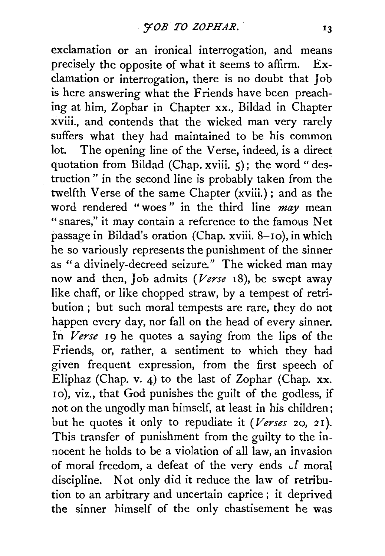exclamation or an ironical interrogation, and means precisely the opposite of what it seems to affirm. Exclamation or interrogation, there is no doubt that Job is here answering what the Friends have been preaching at him, Zophar in Chapter xx., Bildad in Chapter xviii., and contends that the wicked man very rarely suffers what they had maintained to be his common lot. The opening line of the Verse, indeed, is a direct quotation from Bildad (Chap. xviii. 5); the word "destruction" in the second line is probably taken from the twelfth Verse of the same Chapter (xviii.) ; and as the word rendered " woes " in the third line *may* mean "snares," it may contain a reference to the famous Net passage in Bildad's oration (Chap. xviii. 8-10), in which he so variously represents the punishment of the sinner as "a divinely-decreed seizure." The wicked man may now and then, Job admits *(Verse* 18), be swept away like chaff, or like chopped straw, by a tempest of retribution ; but such moral tempests are rare, they do not happen every day, nor fall on the head of every sinner. ln *Verse* 19 he quotes a saying from the lips of the Friends, or, rather, a sentiment to which they had given frequent expression, from the first speech of Eliphaz (Chap. v. 4) to the last of Zophar (Chap. xx. 10), viz., that God punishes the guilt of the godless, if not on the ungodly man himself, at least in his children; but he quotes it only to repudiate it *(Verses* 20, 21 ). This transfer of punishment from the guilty to the innocent he holds to be a violation of all law, an invasion of moral freedom, a defeat of the very ends of moral discipline. Not only did it reduce the law of retribution to an arbitrary and uncertain caprice ; it deprived the sinner himself of the only chastisement he was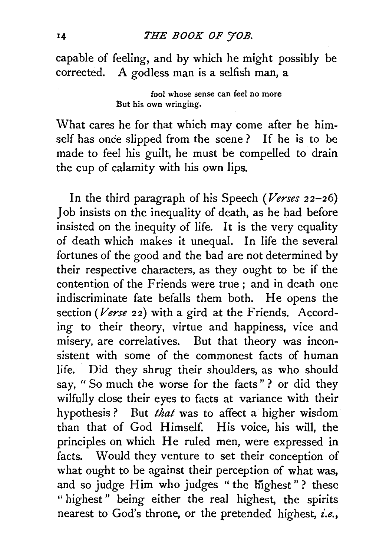### 14 *THE BOOK OF '70B.*

capable of feeling, and by which he might possibly be corrected. A godless man is a selfish man, a

> fool whose sense can feel no more But his own wringing.

What cares he for that which may come after he himself has once slipped from the scene ? If he is to be made to feel his guilt, he must be compelled to drain the cup of calamity with his own lips.

In the third paragraph of his Speech *(Verses* 22-26) Job insists on the inequality of death, as he had before insisted on the inequity of life. It is the very equality of death which makes it unequal. In life the several fortunes of the good and the bad are not determined by their respective characters, as they ought to be if the contention of the Friends were true; and in death one indiscriminate fate befalls them both. He opens the section *(Verse* 22) with a gird at the Friends. According to their theory, virtue and happiness, vice and misery, are correlatives. But that theory was inconsistent with some of the commonest facts of human life. Did they shrug their shoulders, as who should say, " So much the worse for the facts" ? or did they wilfully close their eyes to facts at variance with their hypothesis ? But *that* was to affect a higher wisdom than that of God Himself. His voice, his will, the principles on which He ruled men, were expressed in facts. Would they venture to set their conception of what ought to be against their perception of what was, and so judge Him who judges "the highest" ? these "highest" being either the real highest, the spirits nearest to God's throne, or the pretended highest, *i.e.,*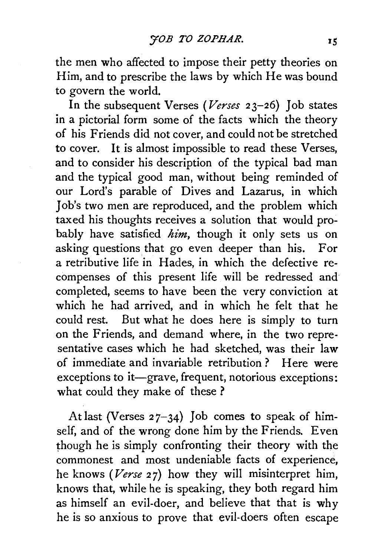the men who affected to impose their petty theories on Him, and to prescribe the laws by which He was bound to govern the world.

In the subsequent Verses *(Verses* 23-26) Job states in a pictorial form some of the facts which the theory of his Friends did not cover, and could not be stretched to cover. It is almost impossible to read these Verses, and to consider his description of the typical bad man and the typical good man, without being reminded of our Lord's parable of Dives and Lazarus, in which Job's two men are reproduced, and the problem which taxed his thoughts receives a solution that would probably have satisfied *him,* though it only sets us on asking questions that go even deeper than his. For a retributive life in Hades, in which the defective recompenses of this present life will be redressed and completed, seems to have been the very conviction at which he had arrived, and in which he felt that he could rest. But what he does here is simply to turn on the Friends, and demand where, in the two representative cases which he had sketched, was their law of immediate and invariable retribution? Here were exceptions to it-grave, frequent, notorious exceptions: what could they make of these?

At last (Verses  $27-34$ ) Job comes to speak of himself, and of the wrong done him by the Friends. Even though he is simply confronting their theory with the commonest and most undeniable facts of experience, he knows *(Verse* 27) how they will misinterpret him, knows that, while he is speaking, they both regard him as himself an evil-doer, and believe that that is why he is so anxious to prove that evil-doers often escape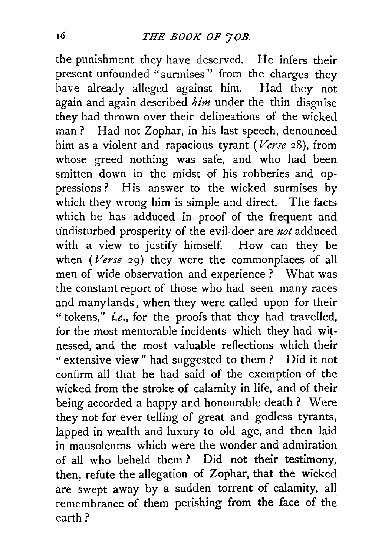the punishment they have deserved. He infers their present unfounded "surmises" from the charges they have already alleged against him. Had they not again and again described *him* under the thin disguise they had thrown over their delineations of the wicked man? Had not Zophar, in his last speech, denounced him as a violent and rapacious tyrant *(Verse* 28), from whose greed nothing was safe, and who had been smitten down in the midst of his robberies and oppressions? His answer to the wicked surmises by which they wrong him is simple and direct. The facts which he has adduced in proof of the frequent and undisturbed prosperity of the evil-doer are *not* adduced with a view to justify himself. How can they be when ( $Verse$  29) they were the commonplaces of all men of wide observation and experience ? What was the constant report of those who had seen many races and many lands, when they were called upon for their "tokens," *i.e.,* for the proofs that they had travelled, for the most memorable incidents which they had witnessed, and the most valuable reflections which their " extensive view" had suggested to them ? Did it not confirm all that he had said of the exemption of the wicked from the stroke of calamity in life, and of their being accorded a happy and honourable death ? Were they not for ever telling of great and godless tyrants, lapped in wealth and luxury to old age, and then laid in mausoleums which were the wonder and admiration of all who beheld them ? Did not their testimony, then, refute the allegation of Zophar, that the wicked are swept away by a sudden torrent of calamity, all remembrance of them perishing from the face of the earth?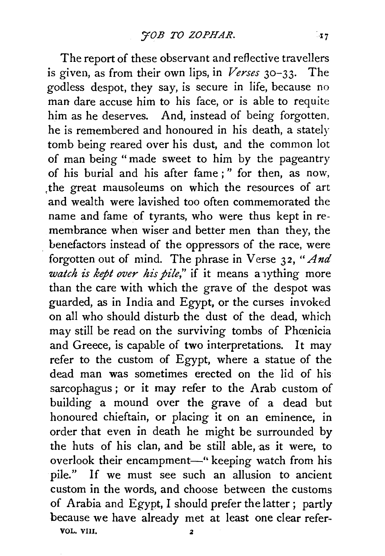The report of these observant and reflective travellers is given, as from their own lips, in *Verses* 30-33. The godless despot, they say, is secure in life, because no man dare accuse him to his face, or is able to requite him as he deserves. And, instead of being forgotten, he is remembered and honoured in his death, a stately tomb being reared over his dust, and the common lot of man being" made sweet to him by the pageantry of his burial and his after fame ; " for then, as now, ,the great mausoleums on which the resources of art and wealth were lavished too often commemorated the name and fame of tyrants, who were thus kept in remembrance when wiser and better men than they, the benefactors instead of the oppressors of the race, were forgotten out of mind. The phrase in Verse 32, *"And watch is kept over his pile*," if it means a lything more than the care with which the grave of the despot was guarded, as in India and Egypt, or the curses invoked on all who should disturb the dust of the dead, which may still be read on the surviving tombs of Phœnicia and Greece, is capable of two interpretations. It may refer to the custom of Egypt, where a statue of the dead man was sometimes erected on the lid of his sarcophagus ; or it may refer to the Arab custom of building a mound over the grave of a dead but honoured chieftain, or placing it on an eminence, in order that even in death he might be surrounded by the huts of his clan, and be still able, as it were, to overlook their encampment-" keeping watch from his pile." If we must see such an allusion to ancient custom in the words, and choose between the customs of Arabia and Egypt, I should prefer the latter ; partly because we have already met at least one clear refer-

VOL. VIIJ.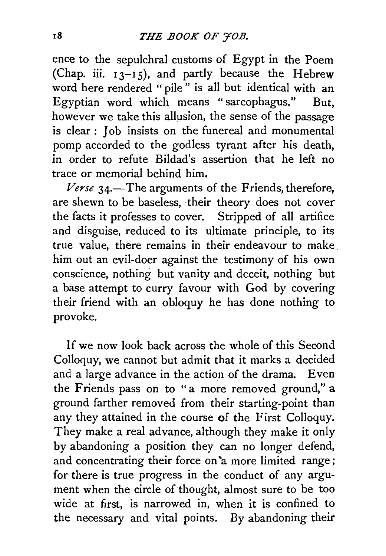ence to the sepulchral customs of Egypt in the Poem (Chap. iii.  $13-15$ ), and partly because the Hebrew word here rendered "pile" is all but identical with an Egyptian word which means "sarcophagus.'' But, however we take this allusion, the sense of the passage is clear : Job insists on the funereal and monumental pomp accorded to the godless tyrant after his death, in order to refute Bildad's assertion that he left no trace or memorial behind him.

Verse 34.—The arguments of the Friends, therefore, are shewn to be baseless, their theory does not cover the facts it professes to cover. Stripped of all artifice and disguise, reduced to its ultimate principle, to its true value, there remains in their endeavour to make. him out an evil-doer against the testimony of his own conscience, nothing but vanity and deceit, nothing but a base attempt to curry favour with God by covering their friend with an obloquy he has done nothing to provoke.

If we now look back across the whole of this Second Colloquy, we cannot but admit that it marks a decided and a large advance in the action of the drama. Even the Friends pass on to "a more removed ground," a ground farther removed from their starting-point than any they attained in the course of the First Colloquy. They make a real advance, although they make it only by abandoning a position they can no longer defend, and concentrating their force on 'a more limited range; for there is true progress in the conduct of any argument when the circle of thought, almost sure to be too wide at first, is narrowed in, when it is confined to the necessary and vital points. By abandoning their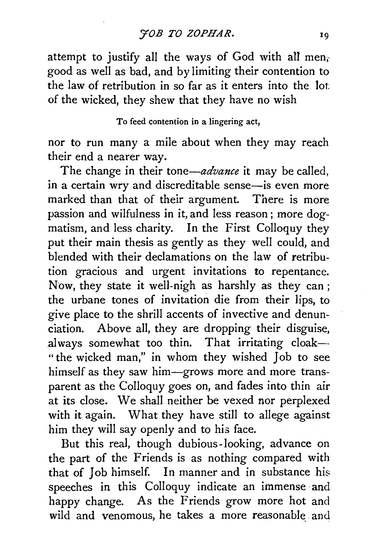attempt to justify all the ways of God with all men; good as well as bad, and by limiting their contention to the law of retribution in so far as it enters into the lot: of the wicked, they shew that they have no wish

#### To feed contention in a lingering act,

nor to run many a mile about when they may reach their end a nearer way.

The change in their *tone—advance* it may be called, in a certain wry and discreditable sense—is even more marked than that of their argument. There is more passion and wilfulness in it, and less reason; more dogmatism, and less charity. In the First Colloquy they put their main thesis as gently as they well could, and blended with their declamations on the law of retribution gracious and urgent invitations to repentance. Now, they state it well-nigh as harshly as they can; the urbane tones of invitation die from their lips, to give place to the shrill accents of invective and denunciation. Above all, they are dropping their disguise, always somewhat too thin. That irritating cloak-" the wicked man," in whom they wished Job to see himself as they saw him-grows more and more transparent as the Colloquy goes on, and fades into thin air at its close. We shall neither be vexed nor perplexed with it again. What they have still to allege against him they will say openly and to his face.

But this real, though dubious-looking, advance on the part of the Friends is as nothing compared with that of Job himself. In manner and in substance his speeches in this Colloquy indicate an immense and happy change. As the Friends grow more hot and wild and venomous, he takes a more reasonable and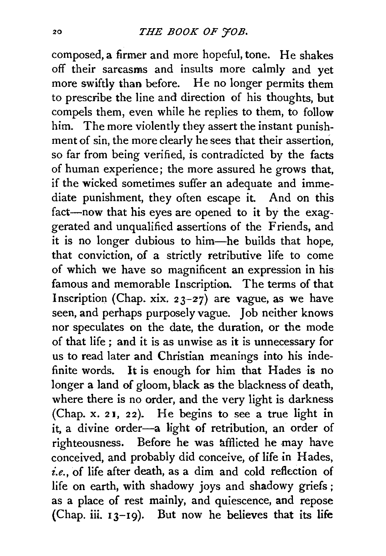composed, a firmer and more hopeful, tone. He shakes off their sarcasms and insults more calmly and yet more swiftly than before. He no longer permits them to prescribe the line and direction of his thoughts, but compels them, even while he replies to them, to follow him. The more violently they assert the instant punishment of sin, the more clearly he sees that their assertion, so far from being verified, is contradicted by the facts of human experience; the more assured he grows that, if the wicked sometimes suffer an adequate and immediate punishment, they often escape it. And on this fact-now that his eyes are opened to it by the exaggerated and unqualified assertions of the Friends, and it is no longer dubious to him-he builds that hope, that conviction, of a strictly retributive life to come of which we have so magnificent an expression in his famous and memorable Inscription. The terms of that Inscription (Chap. xix.  $23-27$ ) are vague, as we have seen, and perhaps purposely vague. Job neither knows nor speculates on the date, the duration, or the mode of that life ; and it is as unwise as it is unnecessary for us to read later and Christian meanings into his indefinite words. lt is enough for him that Hades is no longer a land of gloom, black as the blackness of death, where there is no order, and the very light is darkness (Chap.  $x. 21$ ,  $22$ ). He begins to see a true light in it, a divine order-a light of retribution, an order of righteousness. Before he was afflicted he may have conceived, and probably did conceive, of life in Hades, *i.e.,* of life after death, as a dim and cold reflection of life on earth, with shadowy joys and shadowy griefs ; as a place of rest mainly, and quiescence, and repose (Chap. iii.  $13-19$ ). But now he believes that its life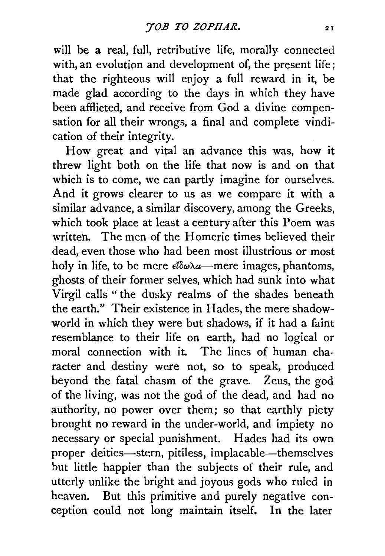will be a real, full, retributive life, morally connected with, an evolution and development of, the present life; that the righteous will enjoy a full reward in it, be made glad according to the days in which they have been afflicted, and receive from God a divine compensation for all their wrongs, a final and complete vindication of their integrity.

How great and vital an advance this was, how it threw light both on the life that now is and on that which is to come, we can partly imagine for ourselves. And it grows clearer to us as we compare it with a similar advance, a similar discovery, among the Greeks, which took place at least a century after this Poem was written. The men of the Homeric times believed their dead, even those who had been most illustrious or most holy in life, to be mere  $e^i\delta\omega\lambda a$ —mere images, phantoms, ghosts of their former selves, which had sunk into what Virgil calls " the dusky realms of the shades beneath the earth." Their existence in Hades, the mere shadowworld in which they were but shadows, if it had a faint resemblance to their life on earth, had no logical or moral connection with it. The lines of human character and destiny were not, so to speak, produced beyond the fatal chasm of the grave. Zeus, the god of the living, was not the god of the dead, and had no authority, no power over them; so that earthly piety brought no reward in the under-world, and impiety no necessary or special punishment. Hades had its own proper deities-stern, pitiless, implacable-themselves but little happier than the subjects of their rule, and utterly unlike the bright and joyous gods who ruled in heaven. But this primitive and purely negative conception could not long maintain itself. In the later